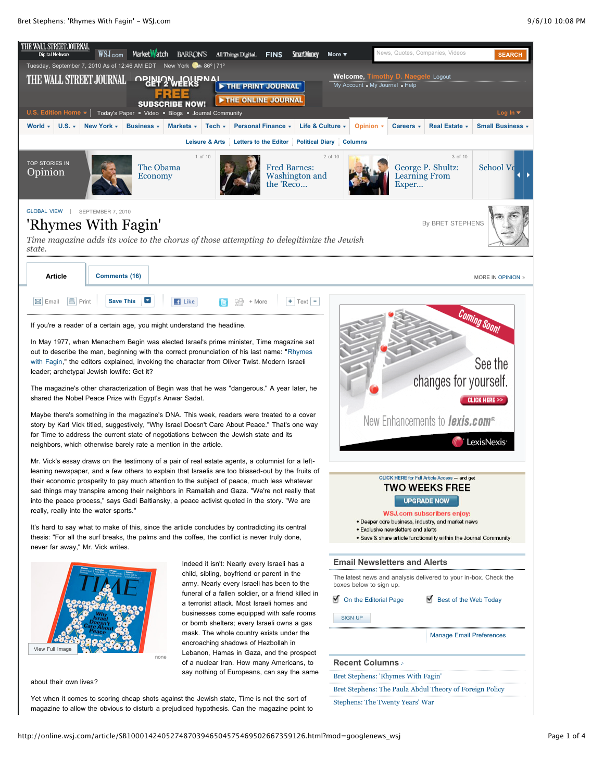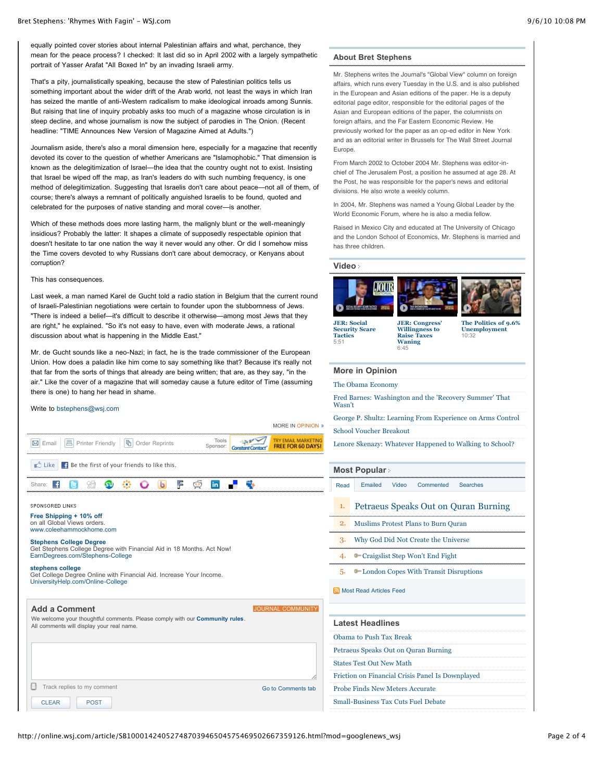That's a pity, journalistically speaking, because the stew of Palestinian politics tells us something important about the wider drift of the Arab world, not least the ways in which Iran has seized the mantle of anti-Western radicalism to make ideological inroads among Sunnis. But raising that line of inquiry probably asks too much of a magazine whose circulation is in steep decline, and whose journalism is now the subject of parodies in The Onion. (Recent headline: "TIME Announces New Version of Magazine Aimed at Adults.")

Journalism aside, there's also a moral dimension here, especially for a magazine that recently devoted its cover to the question of whether Americans are "Islamophobic." That dimension is known as the delegitimization of Israel—the idea that the country ought not to exist. Insisting that Israel be wiped off the map, as Iran's leaders do with such numbing frequency, is one method of delegitimization. Suggesting that Israelis don't care about peace—not all of them, of course; there's always a remnant of politically anguished Israelis to be found, quoted and celebrated for the purposes of native standing and moral cover—is another.

Which of these methods does more lasting harm, the malignly blunt or the well-meaningly insidious? Probably the latter: It shapes a climate of supposedly respectable opinion that doesn't hesitate to tar one nation the way it never would any other. Or did I somehow miss the Time covers devoted to why Russians don't care about democracy, or Kenyans about corruption?

This has consequences.

Last week, a man named Karel de Gucht told a radio station in Belgium that the current round of Israeli-Palestinian negotiations were certain to founder upon the stubbornness of Jews. "There is indeed a belief—it's difficult to describe it otherwise—among most Jews that they are right," he explained. "So it's not easy to have, even with moderate Jews, a rational discussion about what is happening in the Middle East."

Mr. de Gucht sounds like a neo-Nazi; in fact, he is the trade commissioner of the European Union. How does a paladin like him come to say something like that? Because it's really not that far from the sorts of things that already are being written; that are, as they say, "in the air." Like the cover of a magazine that will someday cause a future editor of Time (assuming there is one) to hang her head in shame.

### Write to [bstephens@wsj.com](mailto:bstephens@wsj.com)

|                                                                                                                                             |                   | MORE IN OPINION ®                               |
|---------------------------------------------------------------------------------------------------------------------------------------------|-------------------|-------------------------------------------------|
| 咰<br><b>Order Reprints</b><br>Email<br>Printer Friendly                                                                                     | Tools<br>Sponsor: | TRY EMAIL MARKETING<br><b>FREE FOR 60 DAYS!</b> |
| ∎∆ Like<br>F Be the first of your friends to like this.                                                                                     |                   |                                                 |
| F<br>Share:                                                                                                                                 | in                |                                                 |
| <b>SPONSORED LINKS</b>                                                                                                                      |                   |                                                 |
| Free Shipping + 10% off<br>on all Global Views orders.                                                                                      |                   |                                                 |
| www.coleehammockhome.com                                                                                                                    |                   |                                                 |
| <b>Stephens College Degree</b><br>Get Stephens College Degree with Financial Aid in 18 Months. Act Now!<br>EarnDegrees.com/Stephens-College |                   |                                                 |
| stephens college<br>Get College Degree Online with Financial Aid. Increase Your Income.<br>UniversityHelp.com/Online-College                |                   |                                                 |
| <b>Add a Comment</b>                                                                                                                        |                   | <b>JOURNAL COMMUNIT</b>                         |
| We welcome your thoughtful comments. Please comply with our Community rules.                                                                |                   |                                                 |
| All comments will display your real name.                                                                                                   |                   |                                                 |
|                                                                                                                                             |                   |                                                 |
|                                                                                                                                             |                   |                                                 |
|                                                                                                                                             |                   |                                                 |
| Track replies to my comment                                                                                                                 |                   | Go to Comments tab                              |
| <b>CLEAR</b><br><b>POST</b>                                                                                                                 |                   |                                                 |

### **About Bret Stephens**

Mr. Stephens writes the Journal's "Global View" column on foreign affairs, which runs every Tuesday in the U.S. and is also published in the European and Asian editions of the paper. He is a deputy editorial page editor, responsible for the editorial pages of the Asian and European editions of the paper, the columnists on foreign affairs, and the Far Eastern Economic Review. He previously worked for the paper as an op-ed editor in New York and as an editorial writer in Brussels for The Wall Street Journal Europe.

From March 2002 to October 2004 Mr. Stephens was editor-inchief of The Jerusalem Post, a position he assumed at age 28. At the Post, he was responsible for the paper's news and editorial divisions. He also wrote a weekly column.

In 2004, Mr. Stephens was named a Young Global Leader by the World Economic Forum, where he is also a media fellow.

Raised in Mexico City and educated at The University of Chicago and the London School of Economics, Mr. Stephens is married and has three children.

**[Video](http://online.wsj.com/video-center/opinion.html)**

**JER: Social [Security Scare](http://online.wsj.com/video/jer-social-security-scare-tactics/3FE67E35-3F6E-4F40-86EB-984388F36821.html?mod=WSJ_Article_Videocarousel_1) Tactics** 5:51





**[JER: Congress'](http://online.wsj.com/video/jer-congress-willingness-to-raise-taxes-waning/88C8D70B-979C-4A17-8510-0B5B59155AC5.html?mod=WSJ_Article_Videocarousel_2) Willingness to Raise Taxes** 10:32

**[The Politics of 9.6%](http://online.wsj.com/video/the-politics-of-96--unemployment/39B99D36-BC5C-49B2-95C1-BBF09563A32E.html?mod=WSJ_Article_Videocarousel_3) Unemployment**

## **More in Opinion**

[The Obama Economy](http://online.wsj.com/article/SB10001424052748703444804575071281687927918.html?mod=WSJ_article_MoreIn_Opinion)

[Fred Barnes: Washington and the 'Recovery Summer' That](http://online.wsj.com/article/SB10001424052748704206804575467900196619676.html?mod=WSJ_article_MoreIn_Opinion) Wasn't

**Waning** 6:45

[George P. Shultz: Learning From Experience on Arms Control](http://online.wsj.com/article/SB10001424052748704206804575467654209460656.html?mod=WSJ_article_MoreIn_Opinion)

## [School Voucher Breakout](http://online.wsj.com/article/SB10001424052748704147804575455782883586338.html?mod=WSJ_article_MoreIn_Opinion)

[Lenore Skenazy: Whatever Happened to Walking to School?](http://online.wsj.com/article/SB10001424052748703946504575469542721199832.html?mod=WSJ_article_MoreIn_Opinion)

**[Most Popular](http://online.wsj.com/public/page/most_popular.html)**

- [Read](http://online.wsj.com/article/SB10001424052748703946504575469502667359126.html?mod=googlenews_wsj#mostPopular_mostRead) [Emailed](http://online.wsj.com/article/SB10001424052748703946504575469502667359126.html?mod=googlenews_wsj#mostPopular_mostEmailed) [Video](http://online.wsj.com/article/SB10001424052748703946504575469502667359126.html?mod=googlenews_wsj#mostPopular_mostPopularVideo) [Commented](http://online.wsj.com/article/SB10001424052748703946504575469502667359126.html?mod=googlenews_wsj#mostPopular_mostCommented) [Searches](http://online.wsj.com/article/SB10001424052748703946504575469502667359126.html?mod=googlenews_wsj#mostPopular_mostSearched)
- 1. [Petraeus Speaks Out on Quran Burning](http://online.wsj.com/article/SB10001424052748703713504575475500753093116.html?mod=WSJ_hp_mostpop_read)
- 2. [Muslims Protest Plans to Burn Quran](http://online.wsj.com/article/SB10001424052748704282504575471870674163414.html?mod=WSJ_hp_mostpop_read)
- 3. [Why God Did Not Create the Universe](http://online.wsj.com/article/SB10001424052748704206804575467921609024244.html?mod=WSJ_hp_mostpop_read)
- 4. [Craigslist Step Won't End Fight](http://online.wsj.com/article/SB10001424052748704392104575475972114109814.html?mod=WSJ_hp_mostpop_read)
- 5. [London Copes With Transit Disruptions](http://online.wsj.com/article/SB10001424052748703713504575475514033471540.html?mod=WSJ_hp_mostpop_read)

#### [Most Read Articles Feed](http://online.wsj.com/rss?mod=fpp_rss)

| <b>Latest Headlines</b> |  |
|-------------------------|--|
|-------------------------|--|

[Obama to Push Tax Break](http://online.wsj.com/article/SB10001424052748704392104575475920686869934.html?mod=WSJ_article_LatestHeadlines)

[Petraeus Speaks Out on Quran Burning](http://online.wsj.com/article/SB10001424052748703713504575475500753093116.html?mod=WSJ_article_LatestHeadlines)

[States Test Out New Math](http://online.wsj.com/article/SB10001424052748704095704575473662307261240.html?mod=WSJ_article_LatestHeadlines)

[Friction on Financial Crisis Panel Is Downplayed](http://online.wsj.com/article/SB10001424052748703713504575476452698608136.html?mod=WSJ_article_LatestHeadlines)

[Probe Finds New Meters Accurate](http://online.wsj.com/article/SB10001424052748703431604575468003508376576.html?mod=WSJ_article_LatestHeadlines)

[Small-Business Tax Cuts Fuel Debate](http://online.wsj.com/article/SB10001424052748703417104575473653330146646.html?mod=WSJ_article_LatestHeadlines)